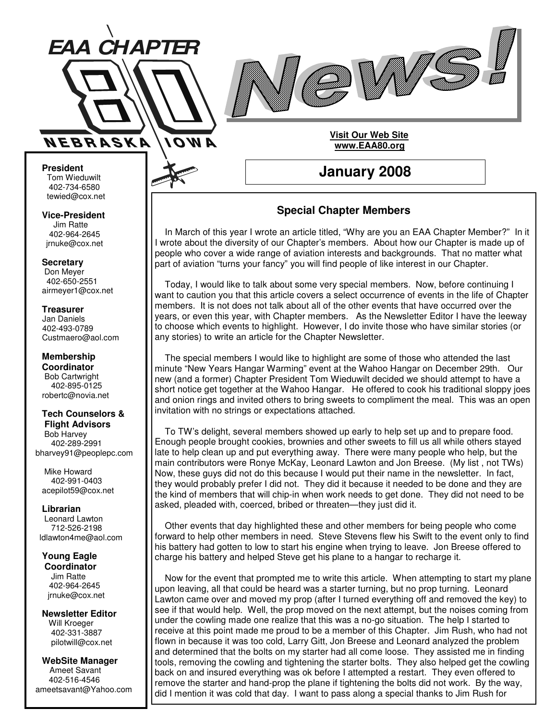



#### **President** Tom Wieduwilt 402-734-6580 tewied@cox.net

**Vice-President** Jim Ratte 402-964-2645 jrnuke@cox.net

**Secretary** Don Meyer 402-650-2551 airmeyer1@cox.net

**Treasurer** Jan Daniels 402-493-0789 Custmaero@aol.com

**Membership Coordinator** Bob Cartwright 402-895-0125 robertc@novia.net

#### **Tech Counselors & Flight Advisors**

Bob Harvey 402-289-2991 bharvey91@peoplepc.com

Mike Howard 402-991-0403 acepilot59@cox.net

#### **Librarian**

Leonard Lawton 712-526-2198 ldlawton4me@aol.com

**Young Eagle Coordinator** Jim Ratte 402-964-2645 jrnuke@cox.net

**Newsletter Editor** Will Kroeger 402-331-3887 pilotwill@cox.net

**WebSite Manager** Ameet Savant 402-516-4546 ameetsavant@Yahoo.com

## **Special Chapter Members**

**January 2008**

**Visit Our Web Site www.EAA80.org**

In March of this year I wrote an article titled, "Why are you an EAA Chapter Member?" In it I wrote about the diversity of our Chapter's members. About how our Chapter is made up of people who cover a wide range of aviation interests and backgrounds. That no matter what part of aviation "turns your fancy" you will find people of like interest in our Chapter.

Today, I would like to talk about some very special members. Now, before continuing I want to caution you that this article covers a select occurrence of events in the life of Chapter members. It is not does not talk about all of the other events that have occurred over the years, or even this year, with Chapter members. As the Newsletter Editor I have the leeway to choose which events to highlight. However, I do invite those who have similar stories (or any stories) to write an article for the Chapter Newsletter.

The special members I would like to highlight are some of those who attended the last minute "New Years Hangar Warming" event at the Wahoo Hangar on December 29th. Our new (and a former) Chapter President Tom Wieduwilt decided we should attempt to have a short notice get together at the Wahoo Hangar. He offered to cook his traditional sloppy joes and onion rings and invited others to bring sweets to compliment the meal. This was an open invitation with no strings or expectations attached.

To TW's delight, several members showed up early to help set up and to prepare food. Enough people brought cookies, brownies and other sweets to fill us all while others stayed late to help clean up and put everything away. There were many people who help, but the main contributors were Ronye McKay, Leonard Lawton and Jon Breese. (My list , not TWs) Now, these guys did not do this because I would put their name in the newsletter. In fact, they would probably prefer I did not. They did it because it needed to be done and they are the kind of members that will chip-in when work needs to get done. They did not need to be asked, pleaded with, coerced, bribed or threaten—they just did it.

Other events that day highlighted these and other members for being people who come forward to help other members in need. Steve Stevens flew his Swift to the event only to find his battery had gotten to low to start his engine when trying to leave. Jon Breese offered to charge his battery and helped Steve get his plane to a hangar to recharge it.

Now for the event that prompted me to write this article. When attempting to start my plane upon leaving, all that could be heard was a starter turning, but no prop turning. Leonard Lawton came over and moved my prop (after I turned everything off and removed the key) to see if that would help. Well, the prop moved on the next attempt, but the noises coming from under the cowling made one realize that this was a no-go situation. The help I started to receive at this point made me proud to be a member of this Chapter. Jim Rush, who had not flown in because it was too cold, Larry Gitt, Jon Breese and Leonard analyzed the problem and determined that the bolts on my starter had all come loose. They assisted me in finding tools, removing the cowling and tightening the starter bolts. They also helped get the cowling back on and insured everything was ok before I attempted a restart. They even offered to remove the starter and hand-prop the plane if tightening the bolts did not work. By the way, did I mention it was cold that day. I want to pass along a special thanks to Jim Rush for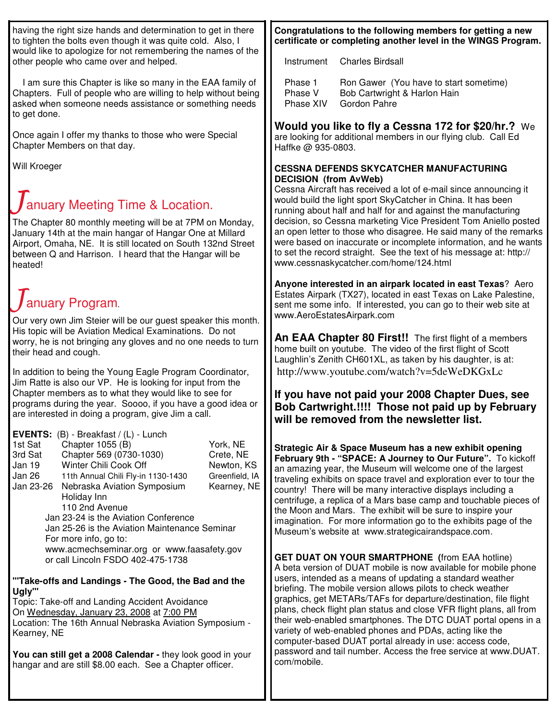having the right size hands and determination to get in there to tighten the bolts even though it was quite cold. Also, I would like to apologize for not remembering the names of the other people who came over and helped.

I am sure this Chapter is like so many in the EAA family of Chapters. Full of people who are willing to help without being asked when someone needs assistance or something needs to get done.

Once again I offer my thanks to those who were Special Chapter Members on that day.

Will Kroeger

# anuary Meeting Time & Location.

The Chapter 80 monthly meeting will be at 7PM on Monday, January 14th at the main hangar of Hangar One at Millard Airport, Omaha, NE. It is still located on South 132nd Street between Q and Harrison. I heard that the Hangar will be heated!

# anuary Program.

Our very own Jim Steier will be our guest speaker this month. His topic will be Aviation Medical Examinations. Do not worry, he is not bringing any gloves and no one needs to turn their head and cough.

In addition to being the Young Eagle Program Coordinator, Jim Ratte is also our VP. He is looking for input from the Chapter members as to what they would like to see for programs during the year. Soooo, if you have a good idea or are interested in doing a program, give Jim a call.

|                                               | <b>EVENTS:</b> (B) - Breakfast / (L) - Lunch |                |  |  |
|-----------------------------------------------|----------------------------------------------|----------------|--|--|
| 1st Sat                                       | Chapter 1055 (B)                             | York, NE       |  |  |
| 3rd Sat                                       | Chapter 569 (0730-1030)                      | Crete, NE      |  |  |
| Jan 19                                        | Winter Chili Cook Off                        | Newton, KS     |  |  |
| Jan 26                                        | 11th Annual Chili Fly-in 1130-1430           | Greenfield, IA |  |  |
| Jan 23-26                                     | Nebraska Aviation Symposium                  | Kearney, NE    |  |  |
|                                               | Holiday Inn                                  |                |  |  |
|                                               | 110 2nd Avenue                               |                |  |  |
|                                               | Jan 23-24 is the Aviation Conference         |                |  |  |
| Jan 25-26 is the Aviation Maintenance Seminar |                                              |                |  |  |
|                                               | For more info, go to:                        |                |  |  |
|                                               | www.acmechseminar.org or www.faasafety.gov   |                |  |  |
| or call Lincoln FSDO 402-475-1738             |                                              |                |  |  |

#### **"'Take-offs and Landings - The Good, the Bad and the Ugly'"**

Topic: Take-off and Landing Accident Avoidance On Wednesday, January 23, 2008 at 7:00 PM Location: The 16th Annual Nebraska Aviation Symposium - Kearney, NE

**You can still get a 2008 Calendar -** they look good in your hangar and are still \$8.00 each. See a Chapter officer.

### **Congratulations to the following members for getting a new certificate or completing another level in the WINGS Program.**

Instrument Charles Birdsall

| Phase 1   | Ron Gawer (You have to start sometime) |
|-----------|----------------------------------------|
| Phase V   | Bob Cartwright & Harlon Hain           |
| Phase XIV | Gordon Pahre                           |

# **Would you like to fly a Cessna 172 for \$20/hr.?** We

are looking for additional members in our flying club. Call Ed Haffke @ 935-0803.

### **CESSNA DEFENDS SKYCATCHER MANUFACTURING DECISION (from AvWeb)**

Cessna Aircraft has received a lot of e-mail since announcing it would build the light sport SkyCatcher in China. It has been running about half and half for and against the manufacturing decision, so Cessna marketing Vice President Tom Aniello posted an open letter to those who disagree. He said many of the remarks were based on inaccurate or incomplete information, and he wants to set the record straight. See the text of his message at: http:// www.cessnaskycatcher.com/home/124.html

**Anyone interested in an airpark located in east Texas**? Aero Estates Airpark (TX27), located in east Texas on Lake Palestine, sent me some info. If interested, you can go to their web site at www.AeroEstatesAirpark.com

**An EAA Chapter 80 First!!** The first flight of a members home built on youtube. The video of the first flight of Scott Laughlin's Zenith CH601XL, as taken by his daughter, is at: http://www.youtube.com/watch?v=5deWeDKGxLc

## **If you have not paid your 2008 Chapter Dues, see Bob Cartwright.!!!! Those not paid up by February will be removed from the newsletter list.**

**Strategic Air & Space Museum has a new exhibit opening February 9th - "SPACE: A Journey to Our Future".** To kickoff an amazing year, the Museum will welcome one of the largest traveling exhibits on space travel and exploration ever to tour the country! There will be many interactive displays including a centrifuge, a replica of a Mars base camp and touchable pieces of the Moon and Mars. The exhibit will be sure to inspire your imagination. For more information go to the exhibits page of the Museum's website at www.strategicairandspace.com.

**GET DUAT ON YOUR SMARTPHONE (**from EAA hotline) A beta version of DUAT mobile is now available for mobile phone users, intended as a means of updating a standard weather briefing. The mobile version allows pilots to check weather graphics, get METARs/TAFs for departure/destination, file flight plans, check flight plan status and close VFR flight plans, all from their web-enabled smartphones. The DTC DUAT portal opens in a variety of web-enabled phones and PDAs, acting like the computer-based DUAT portal already in use: access code, password and tail number. Access the free service at www.DUAT. com/mobile.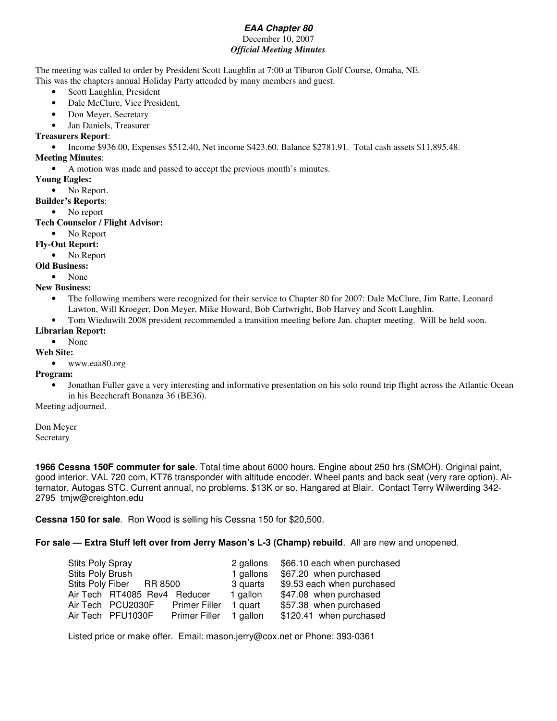#### *EAA Chapter 80* December 10, 2007

#### *Official Meeting Minutes*

The meeting was called to order by President Scott Laughlin at 7:00 at Tiburon Golf Course, Omaha, NE. This was the chapters annual Holiday Party attended by many members and guest.

- Scott Laughlin, President
- Dale McClure, Vice President,
- Don Meyer, Secretary
- Jan Daniels, Treasurer

#### **Treasurers Report**:

• Income \$936.00, Expenses \$512.40, Net income \$423.60. Balance \$2781.91. Total cash assets \$11,895.48.

#### **Meeting Minutes**:

• A motion was made and passed to accept the previous month's minutes.

- **Young Eagles:**
- No Report.

#### **Builder's Reports**:

• No report

#### **Tech Counselor / Flight Advisor:**

• No Report

#### **Fly-Out Report:**

- No Report
- **Old Business:**
	- None

#### **New Business:**

- The following members were recognized for their service to Chapter 80 for 2007: Dale McClure, Jim Ratte, Leonard Lawton, Will Kroeger, Don Meyer, Mike Howard, Bob Cartwright, Bob Harvey and Scott Laughlin.
- Tom Wieduwilt 2008 president recommended a transition meeting before Jan. chapter meeting. Will be held soon.

#### **Librarian Report:**

#### • None

#### **Web Site:**

• www.eaa80.org

#### **Program:**

• Jonathan Fuller gave a very interesting and informative presentation on his solo round trip flight across the Atlantic Ocean in his Beechcraft Bonanza 36 (BE36).

Meeting adjourned.

Don Meyer **Secretary** 

**1966 Cessna 150F commuter for sale**. Total time about 6000 hours. Engine about 250 hrs (SMOH). Original paint, good interior. VAL 720 com, KT76 transponder with altitude encoder. Wheel pants and back seat (very rare option). Alternator, Autogas STC. Current annual, no problems. \$13K or so. Hangared at Blair. Contact Terry Wilwerding 342- 2795 tmjw@creighton.edu

**Cessna 150 for sale**. Ron Wood is selling his Cessna 150 for \$20,500.

**For sale — Extra Stuff left over from Jerry Mason's L-3 (Champ) rebuild**. All are new and unopened.

| 2 gallons                                | \$66.10 each when purchased |
|------------------------------------------|-----------------------------|
| 1 gallons                                | \$67.20 when purchased      |
| 3 quarts                                 | \$9.53 each when purchased  |
| Air Tech RT4085 Rev4 Reducer<br>1 gallon | \$47.08 when purchased      |
| <b>Primer Filler</b><br>1 quart          | \$57.38 when purchased      |
| 1 gallon<br><b>Primer Filler</b>         | \$120.41 when purchased     |
|                                          |                             |

Listed price or make offer. Email: mason.jerry@cox.net or Phone: 393-0361